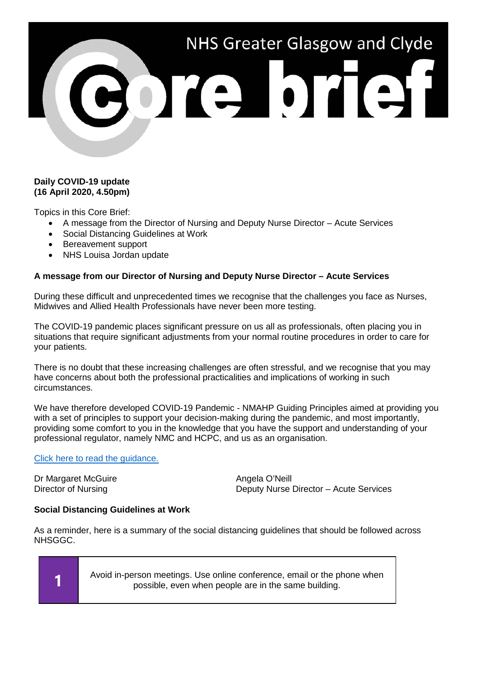

## **Daily COVID-19 update (16 April 2020, 4.50pm)**

Topics in this Core Brief:

- A message from the Director of Nursing and Deputy Nurse Director Acute Services
- Social Distancing Guidelines at Work
- Bereavement support
- NHS Louisa Jordan update

# **A message from our Director of Nursing and Deputy Nurse Director – Acute Services**

During these difficult and unprecedented times we recognise that the challenges you face as Nurses, Midwives and Allied Health Professionals have never been more testing.

The COVID-19 pandemic places significant pressure on us all as professionals, often placing you in situations that require significant adjustments from your normal routine procedures in order to care for your patients.

There is no doubt that these increasing challenges are often stressful, and we recognise that you may have concerns about both the professional practicalities and implications of working in such circumstances.

We have therefore developed COVID-19 Pandemic - NMAHP Guiding Principles aimed at providing you with a set of principles to support your decision-making during the pandemic, and most importantly, providing some comfort to you in the knowledge that you have the support and understanding of your professional regulator, namely NMC and HCPC, and us as an organisation.

### [Click here to read the guidance.](https://www.nhsggc.org.uk/media/259933/covid-pandemic-nmahp-guiding-principles-final_160420.pdf)

Dr Margaret McGuire **Angela O'Neill** Angela O'Neill

Director of Nursing Deputy Nurse Director – Acute Services

### **Social Distancing Guidelines at Work**

As a reminder, here is a summary of the social distancing guidelines that should be followed across NHSGGC.

**1** Avoid in-person meetings. Use online conference, email or the phone when<br>a possible over when people are in the same building possible, even when people are in the same building.